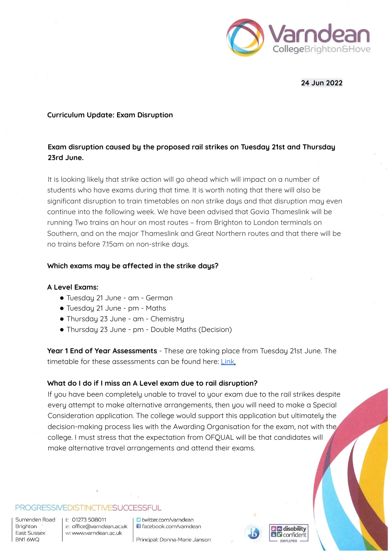

### **24 Jun 2022**

#### **Curriculum Update: Exam Disruption**

# **Exam disruption caused by the proposed rail strikes on Tuesday 21st and Thursday 23rd June.**

It is looking likely that strike action will go ahead which will impact on a number of students who have exams during that time. It is worth noting that there will also be significant disruption to train timetables on non strike days and that disruption may even continue into the following week. We have been advised that Govia Thameslink will be running Two trains an hour on most routes – from Brighton to London terminals on Southern, and on the major Thameslink and Great Northern routes and that there will be no trains before 7.15am on non-strike days.

#### **Which exams may be affected in the strike days?**

#### **A Level Exams:**

- Tuesday 21 June am German
- Tuesday 21 June pm Maths
- Thursday 23 June am Chemistry
- Thursday 23 June pm Double Maths (Decision)

**Year 1 End of Year Assessments** - These are taking place from Tuesday 21st June. The timetable for these assessments can be found here: Link.

### **What do I do if I miss an A Level exam due to rail disruption?**

If you have been completely unable to travel to your exam due to the rail strikes despite every attempt to make alternative arrangements, then you will need to make a Special Consideration application. The college would support this application but ultimately the decision-making process lies with the Awarding Organisation for the exam, not with the college. I must stress that the expectation from OFQUAL will be that candidates will make alternative travel arrangements and attend their exams.

#### PROGRESSIVEDISTINCTIVESUCCESSFUL

Surrenden Road Brighton East Sussex BN16WQ

t: 01273 508011 e: office@varndean.ac.uk w: www.varndean.ac.uk

**D** twitter.com/varndean G facebook.com/varndean

Principal: Donna-Marie Janson



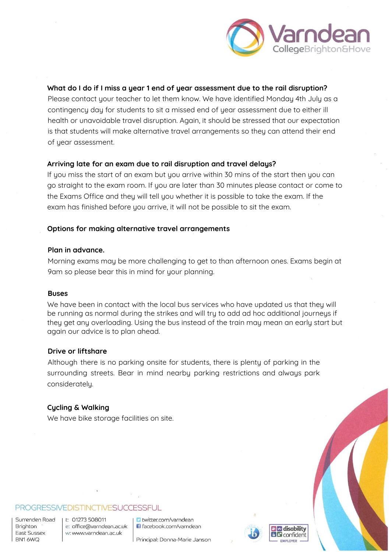

### **What do I do if I miss a year 1 end of year assessment due to the rail disruption?**

Please contact your teacher to let them know. We have identified Monday 4th July as a contingency day for students to sit a missed end of year assessment due to either ill health or unavoidable travel disruption. Again, it should be stressed that our expectation is that students will make alternative travel arrangements so they can attend their end of year assessment.

#### **Arriving late for an exam due to rail disruption and travel delays?**

If you miss the start of an exam but you arrive within 30 mins of the start then you can go straight to the exam room. If you are later than 30 minutes please contact or come to the Exams Office and they will tell you whether it is possible to take the exam. If the exam has finished before you arrive, it will not be possible to sit the exam.

#### **Options for making alternative travel arrangements**

#### **Plan in advance.**

Morning exams may be more challenging to get to than afternoon ones. Exams begin at 9am so please bear this in mind for your planning.

#### **Buses**

We have been in contact with the local bus services who have updated us that they will be running as normal during the strikes and will try to add ad hoc additional journeys if they get any overloading. Using the bus instead of the train may mean an early start but again our advice is to plan ahead.

#### **Drive or liftshare**

Although there is no parking onsite for students, there is plenty of parking in the surrounding streets. Bear in mind nearby parking restrictions and always park considerately.

#### **Cycling & Walking**

We have bike storage facilities on site.

### PROGRESSIVEDISTINCTIVESUCCESSFUL

Surrenden Road Brighton East Sussex BN16WQ

t: 01273 508011 e: office@varndean.ac.uk w: www.varndean.ac.uk

**D** twitter.com/varndean G facebook.com/varndean

Principal: Donna-Marie Janson